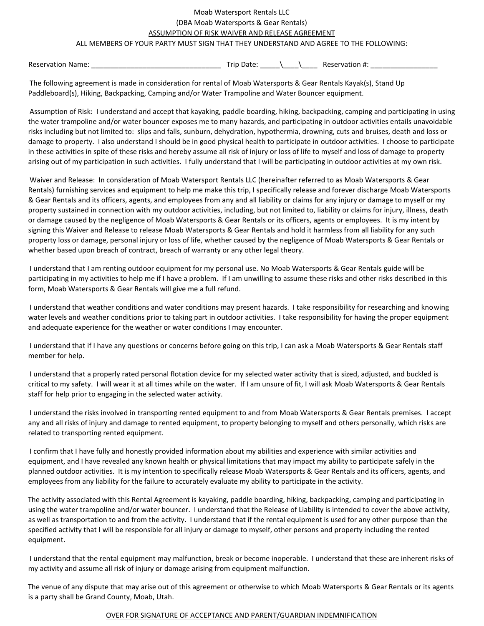## Moab Watersport Rentals LLC (DBA Moab Watersports & Gear Rentals) ASSUMPTION OF RISK WAIVER AND RELEASE AGREEMENT

## ALL MEMBERS OF YOUR PARTY MUST SIGN THAT THEY UNDERSTAND AND AGREE TO THE FOLLOWING:

Reservation Name: \_\_\_\_\_\_\_\_\_\_\_\_\_\_\_\_\_\_\_\_\_\_\_\_\_\_\_\_\_\_\_\_\_ Trip Date: \_\_\_\_\_\\_\_\_\_\\_\_\_\_ Reservation #: \_\_\_\_\_\_\_\_\_\_\_\_\_\_\_\_\_

The following agreement is made in consideration for rental of Moab Watersports & Gear Rentals Kayak(s), Stand Up Paddleboard(s), Hiking, Backpacking, Camping and/or Water Trampoline and Water Bouncer equipment.

Assumption of Risk: I understand and accept that kayaking, paddle boarding, hiking, backpacking, camping and participating in using the water trampoline and/or water bouncer exposes me to many hazards, and participating in outdoor activities entails unavoidable risks including but not limited to: slips and falls, sunburn, dehydration, hypothermia, drowning, cuts and bruises, death and loss or damage to property. I also understand I should be in good physical health to participate in outdoor activities. I choose to participate in these activities in spite of these risks and hereby assume all risk of injury or loss of life to myself and loss of damage to property arising out of my participation in such activities. I fully understand that I will be participating in outdoor activities at my own risk.

Waiver and Release: In consideration of Moab Watersport Rentals LLC (hereinafter referred to as Moab Watersports & Gear Rentals) furnishing services and equipment to help me make this trip, I specifically release and forever discharge Moab Watersports & Gear Rentals and its officers, agents, and employees from any and all liability or claims for any injury or damage to myself or my property sustained in connection with my outdoor activities, including, but not limited to, liability or claims for injury, illness, death or damage caused by the negligence of Moab Watersports & Gear Rentals or its officers, agents or employees. It is my intent by signing this Waiver and Release to release Moab Watersports & Gear Rentals and hold it harmless from all liability for any such property loss or damage, personal injury or loss of life, whether caused by the negligence of Moab Watersports & Gear Rentals or whether based upon breach of contract, breach of warranty or any other legal theory.

I understand that I am renting outdoor equipment for my personal use. No Moab Watersports & Gear Rentals guide will be participating in my activities to help me if I have a problem. If I am unwilling to assume these risks and other risks described in this form, Moab Watersports & Gear Rentals will give me a full refund.

I understand that weather conditions and water conditions may present hazards. I take responsibility for researching and knowing water levels and weather conditions prior to taking part in outdoor activities. I take responsibility for having the proper equipment and adequate experience for the weather or water conditions I may encounter.

I understand that if I have any questions or concerns before going on this trip, I can ask a Moab Watersports & Gear Rentals staff member for help.

I understand that a properly rated personal flotation device for my selected water activity that is sized, adjusted, and buckled is critical to my safety. I will wear it at all times while on the water. If I am unsure of fit, I will ask Moab Watersports & Gear Rentals staff for help prior to engaging in the selected water activity.

I understand the risks involved in transporting rented equipment to and from Moab Watersports & Gear Rentals premises. I accept any and all risks of injury and damage to rented equipment, to property belonging to myself and others personally, which risks are related to transporting rented equipment.

I confirm that I have fully and honestly provided information about my abilities and experience with similar activities and equipment, and I have revealed any known health or physical limitations that may impact my ability to participate safely in the planned outdoor activities. It is my intention to specifically release Moab Watersports & Gear Rentals and its officers, agents, and employees from any liability for the failure to accurately evaluate my ability to participate in the activity.

The activity associated with this Rental Agreement is kayaking, paddle boarding, hiking, backpacking, camping and participating in using the water trampoline and/or water bouncer. I understand that the Release of Liability is intended to cover the above activity, as well as transportation to and from the activity. I understand that if the rental equipment is used for any other purpose than the specified activity that I will be responsible for all injury or damage to myself, other persons and property including the rented equipment.

I understand that the rental equipment may malfunction, break or become inoperable. I understand that these are inherent risks of my activity and assume all risk of injury or damage arising from equipment malfunction.

The venue of any dispute that may arise out of this agreement or otherwise to which Moab Watersports & Gear Rentals or its agents is a party shall be Grand County, Moab, Utah.

## OVER FOR SIGNATURE OF ACCEPTANCE AND PARENT/GUARDIAN INDEMNIFICATION